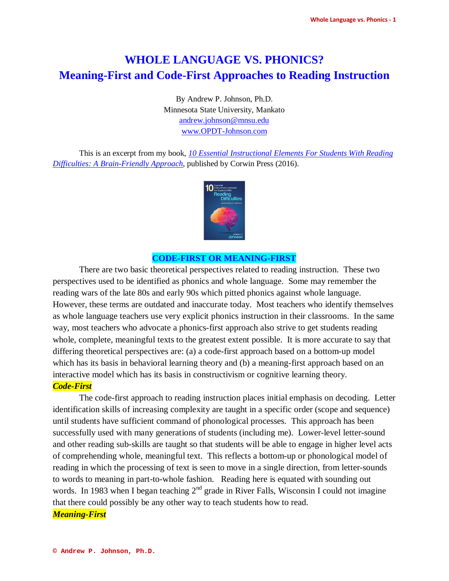# **WHOLE LANGUAGE VS. PHONICS? Meaning-First and Code-First Approaches to Reading Instruction**

By Andrew P. Johnson, Ph.D. Minnesota State University, Mankato [andrew.johnson@mnsu.edu](mailto:andrew.johnson@mnsu.edu) www.OPDT-Johnson.com

This is an excerpt from my book, *[10 Essential Instructional Elements For Students With Reading](https://us.corwin.com/en-us/nam/10-essential-instructional-elements-for-students-with-reading-difficulties/book244310)  [Difficulties: A Brain-Friendly Approach](https://us.corwin.com/en-us/nam/10-essential-instructional-elements-for-students-with-reading-difficulties/book244310)*, published by Corwin Press (2016).



# **CODE-FIRST OR MEANING-FIRST**

There are two basic theoretical perspectives related to reading instruction. These two perspectives used to be identified as phonics and whole language. Some may remember the reading wars of the late 80s and early 90s which pitted phonics against whole language. However, these terms are outdated and inaccurate today. Most teachers who identify themselves as whole language teachers use very explicit phonics instruction in their classrooms. In the same way, most teachers who advocate a phonics-first approach also strive to get students reading whole, complete, meaningful texts to the greatest extent possible. It is more accurate to say that differing theoretical perspectives are: (a) a code-first approach based on a bottom-up model which has its basis in behavioral learning theory and (b) a meaning-first approach based on an interactive model which has its basis in constructivism or cognitive learning theory. *Code-First*

The code-first approach to reading instruction places initial emphasis on decoding. Letter identification skills of increasing complexity are taught in a specific order (scope and sequence) until students have sufficient command of phonological processes. This approach has been successfully used with many generations of students (including me). Lower-level letter-sound and other reading sub-skills are taught so that students will be able to engage in higher level acts of comprehending whole, meaningful text. This reflects a bottom-up or phonological model of reading in which the processing of text is seen to move in a single direction, from letter-sounds to words to meaning in part-to-whole fashion. Reading here is equated with sounding out words. In 1983 when I began teaching  $2<sup>nd</sup>$  grade in River Falls, Wisconsin I could not imagine that there could possibly be any other way to teach students how to read.

# *Meaning-First*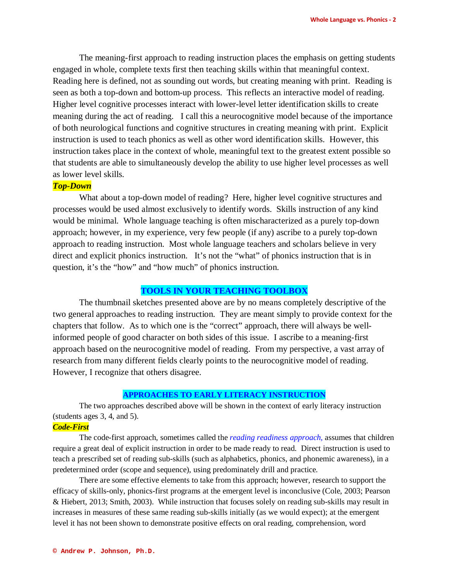The meaning-first approach to reading instruction places the emphasis on getting students engaged in whole, complete texts first then teaching skills within that meaningful context. Reading here is defined, not as sounding out words, but creating meaning with print. Reading is seen as both a top-down and bottom-up process. This reflects an interactive model of reading. Higher level cognitive processes interact with lower-level letter identification skills to create meaning during the act of reading. I call this a neurocognitive model because of the importance of both neurological functions and cognitive structures in creating meaning with print. Explicit instruction is used to teach phonics as well as other word identification skills. However, this instruction takes place in the context of whole, meaningful text to the greatest extent possible so that students are able to simultaneously develop the ability to use higher level processes as well as lower level skills.

## *Top-Down*

What about a top-down model of reading? Here, higher level cognitive structures and processes would be used almost exclusively to identify words. Skills instruction of any kind would be minimal. Whole language teaching is often mischaracterized as a purely top-down approach; however, in my experience, very few people (if any) ascribe to a purely top-down approach to reading instruction. Most whole language teachers and scholars believe in very direct and explicit phonics instruction. It's not the "what" of phonics instruction that is in question, it's the "how" and "how much" of phonics instruction.

# **TOOLS IN YOUR TEACHING TOOLBOX**

The thumbnail sketches presented above are by no means completely descriptive of the two general approaches to reading instruction. They are meant simply to provide context for the chapters that follow. As to which one is the "correct" approach, there will always be wellinformed people of good character on both sides of this issue. I ascribe to a meaning-first approach based on the neurocognitive model of reading. From my perspective, a vast array of research from many different fields clearly points to the neurocognitive model of reading. However, I recognize that others disagree.

#### **APPROACHES TO EARLY LITERACY INSTRUCTION**

The two approaches described above will be shown in the context of early literacy instruction (students ages 3, 4, and 5).

# *Code-First*

The code-first approach, sometimes called the *reading readiness approach,* assumes that children require a great deal of explicit instruction in order to be made ready to read. Direct instruction is used to teach a prescribed set of reading sub-skills (such as alphabetics, phonics, and phonemic awareness), in a predetermined order (scope and sequence), using predominately drill and practice.

There are some effective elements to take from this approach; however, research to support the efficacy of skills-only, phonics-first programs at the emergent level is inconclusive (Cole, 2003; Pearson & Hiebert, 2013; Smith, 2003). While instruction that focuses solely on reading sub-skills may result in increases in measures of these same reading sub-skills initially (as we would expect); at the emergent level it has not been shown to demonstrate positive effects on oral reading, comprehension, word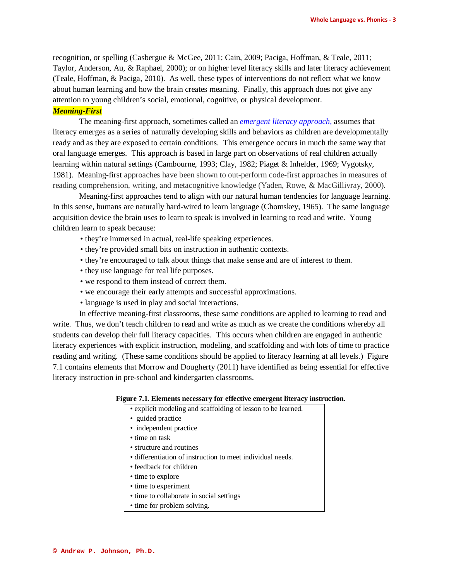recognition, or spelling (Casbergue & McGee, 2011; Cain, 2009; Paciga, Hoffman, & Teale, 2011; Taylor, Anderson, Au, & Raphael, 2000); or on higher level literacy skills and later literacy achievement (Teale, Hoffman, & Paciga, 2010). As well, these types of interventions do not reflect what we know about human learning and how the brain creates meaning. Finally, this approach does not give any attention to young children's social, emotional, cognitive, or physical development.

#### *Meaning-First*

The meaning-first approach, sometimes called an *emergent literacy approach,* assumes that literacy emerges as a series of naturally developing skills and behaviors as children are developmentally ready and as they are exposed to certain conditions. This emergence occurs in much the same way that oral language emerges. This approach is based in large part on observations of real children actually learning within natural settings (Cambourne, 1993; Clay, 1982; Piaget & Inhelder, 1969; Vygotsky, 1981). Meaning-first approaches have been shown to out-perform code-first approaches in measures of reading comprehension, writing, and metacognitive knowledge (Yaden, Rowe, & MacGillivray, 2000).

Meaning-first approaches tend to align with our natural human tendencies for language learning. In this sense, humans are naturally hard-wired to learn language (Chomskey, 1965). The same language acquisition device the brain uses to learn to speak is involved in learning to read and write. Young children learn to speak because:

- they're immersed in actual, real-life speaking experiences.
- they're provided small bits on instruction in authentic contexts.
- they're encouraged to talk about things that make sense and are of interest to them.
- they use language for real life purposes.
- we respond to them instead of correct them.
- we encourage their early attempts and successful approximations.
- language is used in play and social interactions.

In effective meaning-first classrooms, these same conditions are applied to learning to read and write. Thus, we don't teach children to read and write as much as we create the conditions whereby all students can develop their full literacy capacities. This occurs when children are engaged in authentic literacy experiences with explicit instruction, modeling, and scaffolding and with lots of time to practice reading and writing. (These same conditions should be applied to literacy learning at all levels.) Figure 7.1 contains elements that Morrow and Dougherty (2011) have identified as being essential for effective literacy instruction in pre-school and kindergarten classrooms.

#### **Figure 7.1. Elements necessary for effective emergent literacy instruction**.

- explicit modeling and scaffolding of lesson to be learned.
- guided practice
- independent practice
- time on task
- structure and routines
- differentiation of instruction to meet individual needs.
- feedback for children
- time to explore
- time to experiment
- time to collaborate in social settings
- time for problem solving.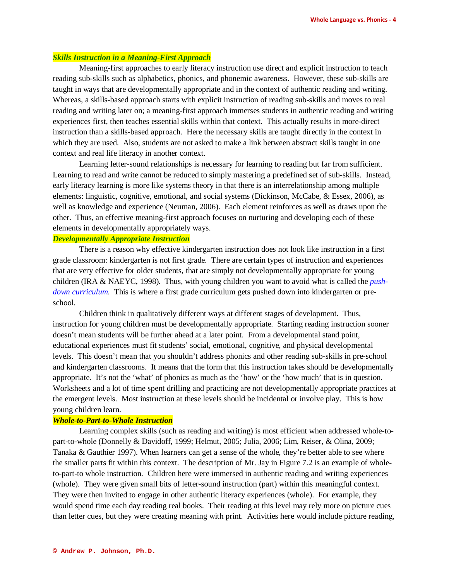#### *Skills Instruction in a Meaning-First Approach*

Meaning-first approaches to early literacy instruction use direct and explicit instruction to teach reading sub-skills such as alphabetics, phonics, and phonemic awareness. However, these sub-skills are taught in ways that are developmentally appropriate and in the context of authentic reading and writing. Whereas, a skills-based approach starts with explicit instruction of reading sub-skills and moves to real reading and writing later on; a meaning-first approach immerses students in authentic reading and writing experiences first, then teaches essential skills within that context. This actually results in more-direct instruction than a skills-based approach. Here the necessary skills are taught directly in the context in which they are used. Also, students are not asked to make a link between abstract skills taught in one context and real life literacy in another context.

Learning letter-sound relationships is necessary for learning to reading but far from sufficient. Learning to read and write cannot be reduced to simply mastering a predefined set of sub-skills. Instead, early literacy learning is more like systems theory in that there is an interrelationship among multiple elements: linguistic, cognitive, emotional, and social systems (Dickinson, McCabe, & Essex, 2006), as well as knowledge and experience (Neuman, 2006). Each element reinforces as well as draws upon the other. Thus, an effective meaning-first approach focuses on nurturing and developing each of these elements in developmentally appropriately ways.

# *Developmentally Appropriate Instruction*

There is a reason why effective kindergarten instruction does not look like instruction in a first grade classroom: kindergarten is not first grade. There are certain types of instruction and experiences that are very effective for older students, that are simply not developmentally appropriate for young children (IRA & NAEYC, 1998). Thus, with young children you want to avoid what is called the *pushdown curriculum.* This is where a first grade curriculum gets pushed down into kindergarten or preschool.

Children think in qualitatively different ways at different stages of development. Thus, instruction for young children must be developmentally appropriate. Starting reading instruction sooner doesn't mean students will be further ahead at a later point. From a developmental stand point, educational experiences must fit students' social, emotional, cognitive, and physical developmental levels. This doesn't mean that you shouldn't address phonics and other reading sub-skills in pre-school and kindergarten classrooms. It means that the form that this instruction takes should be developmentally appropriate. It's not the 'what' of phonics as much as the 'how' or the 'how much' that is in question. Worksheets and a lot of time spent drilling and practicing are not developmentally appropriate practices at the emergent levels. Most instruction at these levels should be incidental or involve play. This is how young children learn.

# *Whole-to-Part-to-Whole Instruction*

Learning complex skills (such as reading and writing) is most efficient when addressed whole-topart-to-whole (Donnelly & Davidoff, 1999; Helmut, 2005; Julia, 2006; Lim, Reiser, & Olina, 2009; Tanaka & Gauthier 1997). When learners can get a sense of the whole, they're better able to see where the smaller parts fit within this context. The description of Mr. Jay in Figure 7.2 is an example of wholeto-part-to whole instruction. Children here were immersed in authentic reading and writing experiences (whole). They were given small bits of letter-sound instruction (part) within this meaningful context. They were then invited to engage in other authentic literacy experiences (whole). For example, they would spend time each day reading real books. Their reading at this level may rely more on picture cues than letter cues, but they were creating meaning with print. Activities here would include picture reading,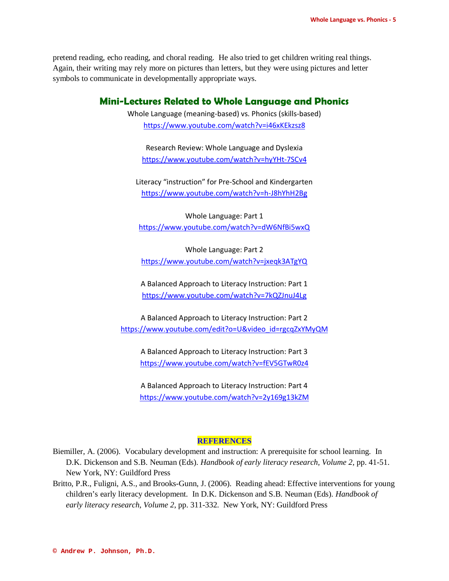pretend reading, echo reading, and choral reading. He also tried to get children writing real things. Again, their writing may rely more on pictures than letters, but they were using pictures and letter symbols to communicate in developmentally appropriate ways.

# **Mini-Lectures Related to Whole Language and Phonics**

Whole Language (meaning-based) vs. Phonics (skills-based) <https://www.youtube.com/watch?v=i46xKEkzsz8>

Research Review: Whole Language and Dyslexia <https://www.youtube.com/watch?v=hyYHt-7SCv4>

Literacy "instruction" for Pre-School and Kindergarten <https://www.youtube.com/watch?v=h-J8hYhH2Bg>

Whole Language: Part 1 <https://www.youtube.com/watch?v=dW6NfBi5wxQ>

Whole Language: Part 2 <https://www.youtube.com/watch?v=jxeqk3ATgYQ>

A Balanced Approach to Literacy Instruction: Part 1 <https://www.youtube.com/watch?v=7kQZJnuJ4Lg>

A Balanced Approach to Literacy Instruction: Part 2 [https://www.youtube.com/edit?o=U&video\\_id=rgcqZxYMyQM](https://www.youtube.com/edit?o=U&video_id=rgcqZxYMyQM)

A Balanced Approach to Literacy Instruction: Part 3 <https://www.youtube.com/watch?v=fEV5GTwR0z4>

A Balanced Approach to Literacy Instruction: Part 4 <https://www.youtube.com/watch?v=2y169g13kZM>

#### **REFERENCES**

- Biemiller, A. (2006). Vocabulary development and instruction: A prerequisite for school learning. In D.K. Dickenson and S.B. Neuman (Eds). *Handbook of early literacy research, Volume 2*, pp. 41-51. New York, NY: Guildford Press
- Britto, P.R., Fuligni, A.S., and Brooks-Gunn, J. (2006). Reading ahead: Effective interventions for young children's early literacy development. In D.K. Dickenson and S.B. Neuman (Eds). *Handbook of early literacy research, Volume 2*, pp. 311-332. New York, NY: Guildford Press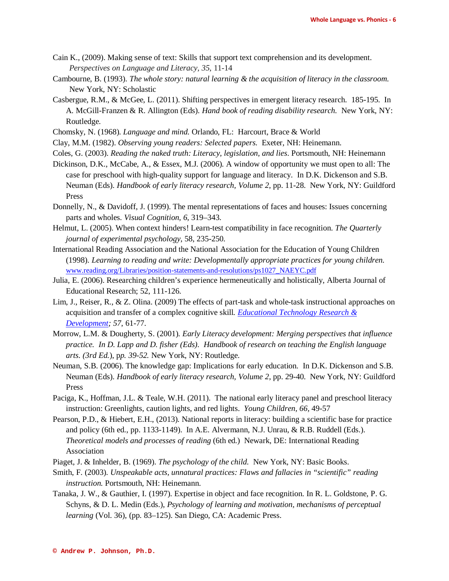- Cain K., (2009). Making sense of text: Skills that support text comprehension and its development. *Perspectives on Language and Literacy, 35*, 11-14
- Cambourne, B. (1993). *The whole story: natural learning & the acquisition of literacy in the classroom.* New York, NY: Scholastic
- Casbergue, R.M., & McGee, L. (2011). Shifting perspectives in emergent literacy research. 185-195. In A. McGill-Franzen & R. Allington (Eds). *Hand book of reading disability research.* New York, NY: Routledge.
- Chomsky, N. (1968). *Language and mind.* Orlando, FL:Harcourt, Brace & World
- Clay, M.M. (1982). *Observing young readers: Selected papers.* Exeter, NH: Heinemann.
- Coles, G. (2003). *Reading the naked truth: Literacy, legislation, and lies*. Portsmouth, NH: Heinemann
- Dickinson, D.K., McCabe, A., & Essex, M.J. (2006). A window of opportunity we must open to all: The case for preschool with high-quality support for language and literacy. In D.K. Dickenson and S.B. Neuman (Eds). *Handbook of early literacy research, Volume 2*, pp. 11-28. New York, NY: Guildford Press
- Donnelly, N., & Davidoff, J. (1999). The mental representations of faces and houses: Issues concerning parts and wholes. *Visual Cognition, 6*, 319–343.
- Helmut, L. (2005). When context hinders! Learn-test compatibility in face recognition. *The Quarterly journal of experimental psychology*, 58, 235-250.
- International Reading Association and the National Association for the Education of Young Children (1998). *Learning to reading and write: Developmentally appropriate practices for young children.*  [www.reading.org/Libraries/position-statements-and-resolutions/ps1027\\_NAEYC.pdf](http://www.reading.org/Libraries/position-statements-and-resolutions/ps1027_NAEYC.pdf)
- Julia, E. (2006). Researching children's experience hermeneutically and holistically, Alberta Journal of Educational Research; 52, 111-126.
- Lim, J., Reiser, R., & Z. Olina. (2009) The effects of part-task and whole-task instructional approaches on acquisition and transfer of a complex cognitive skill*. [Educational Technology Research &](javascript:__doLinkPostBack()  [Development;](javascript:__doLinkPostBack() 57*, 61-77.
- Morrow, L.M. & Dougherty, S. (2001). *Early Literacy development: Merging perspectives that influence practice. In D. Lapp and D. fisher (Eds). Handbook of research on teaching the English language arts. (3rd Ed.*), p*p. 39-52.* New York, NY: Routledge.
- Neuman, S.B. (2006). The knowledge gap: Implications for early education. In D.K. Dickenson and S.B. Neuman (Eds). *Handbook of early literacy research, Volume 2*, pp. 29-40. New York, NY: Guildford Press
- Paciga, K., Hoffman, J.L. & Teale, W.H. (2011). The national early literacy panel and preschool literacy instruction: Greenlights, caution lights, and red lights. *Young Children, 66,* 49-57
- Pearson, P.D., & Hiebert, E.H., (2013). National reports in literacy: building a scientific base for practice and policy (6th ed., pp. 1133-1149). In A.E. Alvermann, N.J. Unrau, & R.B. Ruddell (Eds.). *Theoretical models and processes of reading* (6th ed.) Newark, DE: International Reading Association
- Piaget, J. & Inhelder, B. (1969). *The psychology of the child.* New York, NY: Basic Books.
- Smith, F. (2003). *Unspeakable acts, unnatural practices: Flaws and fallacies in "scientific" reading instruction.* Portsmouth, NH: Heinemann.
- Tanaka, J. W., & Gauthier, I. (1997). Expertise in object and face recognition. In R. L. Goldstone, P. G. Schyns, & D. L. Medin (Eds.), *Psychology of learning and motivation, mechanisms of perceptual learning* (Vol. 36), (pp. 83–125). San Diego, CA: Academic Press.